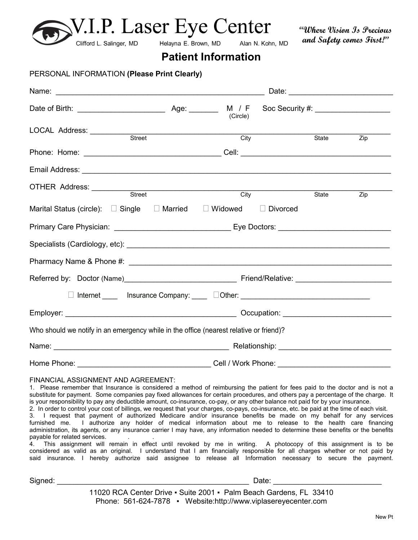| V.I.P. Laser Eye Center<br>Clifford L. Salinger, MD                                                                                                                                                                                                                                                                                                                                                                                                                                                                                                                                                                                                                                                            | Helayna E. Brown, MD       | Alan N. Kohn, MD |       | Where Vision Is Precious<br>and Safety comes First!" |  |
|----------------------------------------------------------------------------------------------------------------------------------------------------------------------------------------------------------------------------------------------------------------------------------------------------------------------------------------------------------------------------------------------------------------------------------------------------------------------------------------------------------------------------------------------------------------------------------------------------------------------------------------------------------------------------------------------------------------|----------------------------|------------------|-------|------------------------------------------------------|--|
|                                                                                                                                                                                                                                                                                                                                                                                                                                                                                                                                                                                                                                                                                                                | <b>Patient Information</b> |                  |       |                                                      |  |
| PERSONAL INFORMATION (Please Print Clearly)                                                                                                                                                                                                                                                                                                                                                                                                                                                                                                                                                                                                                                                                    |                            |                  |       |                                                      |  |
|                                                                                                                                                                                                                                                                                                                                                                                                                                                                                                                                                                                                                                                                                                                |                            |                  |       |                                                      |  |
|                                                                                                                                                                                                                                                                                                                                                                                                                                                                                                                                                                                                                                                                                                                | (Circle)                   |                  |       |                                                      |  |
| LOCAL Address: Street                                                                                                                                                                                                                                                                                                                                                                                                                                                                                                                                                                                                                                                                                          |                            |                  |       |                                                      |  |
|                                                                                                                                                                                                                                                                                                                                                                                                                                                                                                                                                                                                                                                                                                                | City                       |                  | State | Zip                                                  |  |
|                                                                                                                                                                                                                                                                                                                                                                                                                                                                                                                                                                                                                                                                                                                |                            |                  |       |                                                      |  |
| OTHER Address: Street City                                                                                                                                                                                                                                                                                                                                                                                                                                                                                                                                                                                                                                                                                     |                            |                  | State | Zip                                                  |  |
| Marital Status (circle): $\quad \Box$ Single $\quad \Box$ Married $\quad \Box$ Widowed                                                                                                                                                                                                                                                                                                                                                                                                                                                                                                                                                                                                                         |                            | $\Box$ Divorced  |       |                                                      |  |
|                                                                                                                                                                                                                                                                                                                                                                                                                                                                                                                                                                                                                                                                                                                |                            |                  |       |                                                      |  |
|                                                                                                                                                                                                                                                                                                                                                                                                                                                                                                                                                                                                                                                                                                                |                            |                  |       |                                                      |  |
|                                                                                                                                                                                                                                                                                                                                                                                                                                                                                                                                                                                                                                                                                                                |                            |                  |       |                                                      |  |
|                                                                                                                                                                                                                                                                                                                                                                                                                                                                                                                                                                                                                                                                                                                |                            |                  |       |                                                      |  |
| □ Internet _____ Insurance Company: ____ □Other: ______________________________                                                                                                                                                                                                                                                                                                                                                                                                                                                                                                                                                                                                                                |                            |                  |       |                                                      |  |
|                                                                                                                                                                                                                                                                                                                                                                                                                                                                                                                                                                                                                                                                                                                |                            |                  |       |                                                      |  |
| Who should we notify in an emergency while in the office (nearest relative or friend)?                                                                                                                                                                                                                                                                                                                                                                                                                                                                                                                                                                                                                         |                            |                  |       |                                                      |  |
|                                                                                                                                                                                                                                                                                                                                                                                                                                                                                                                                                                                                                                                                                                                |                            |                  |       |                                                      |  |
|                                                                                                                                                                                                                                                                                                                                                                                                                                                                                                                                                                                                                                                                                                                |                            |                  |       |                                                      |  |
| FINANCIAL ASSIGNMENT AND AGREEMENT:<br>1. Please remember that Insurance is considered a method of reimbursing the patient for fees paid to the doctor and is not a<br>substitute for payment. Some companies pay fixed allowances for certain procedures, and others pay a percentage of the charge. It<br>is your responsibility to pay any deductible amount, co-insurance, co-pay, or any other balance not paid for by your insurance.<br>2. In order to control your cost of billings, we request that your charges, co-pays, co-insurance, etc. be paid at the time of each visit.<br>2 I request that normant of outborized Modigare and/or inquirance bonafits he mode on my behalf for any equipment |                            |                  |       |                                                      |  |

3. I request that payment of authorized Medicare and/or insurance benefits be made on my behalf for any services furnished me. I authorize any holder of medical information about me to release to the health care financing administration, its agents, or any insurance carrier I may have, any information needed to determine these benefits or the benefits payable for related services.

4. This assignment will remain in effect until revoked by me in writing. A photocopy of this assignment is to be considered as valid as an original. I understand that I am financially responsible for all charges whether or not paid by said insurance. I hereby authorize said assignee to release all Information necessary to secure the payment.

Signed: \_\_\_\_\_\_\_\_\_\_\_\_\_\_\_\_\_\_\_\_\_\_\_\_\_\_\_\_\_\_\_\_\_\_\_\_\_\_\_\_\_\_\_\_\_\_ Date: \_\_\_\_\_\_\_\_\_\_\_\_\_\_\_\_\_\_\_\_\_\_\_\_\_\_

11020 RCA Center Drive ▪ Suite 2001 ▪ Palm Beach Gardens, FL 33410 Phone: 561-624-7878 • Website:http://www.viplasereyecenter.com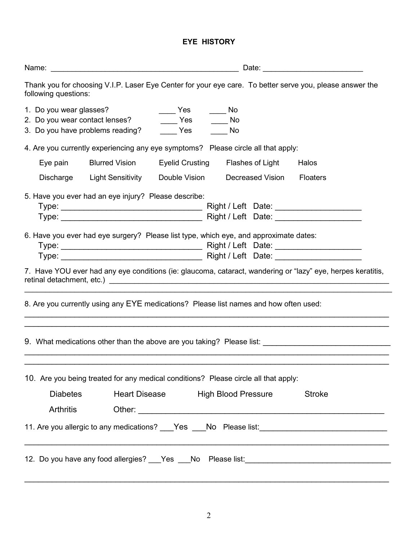#### **EYE HISTORY**

| Thank you for choosing V.I.P. Laser Eye Center for your eye care. To better serve you, please answer the<br>following questions:                                          |                                                                                                                                                                                                                               |  |
|---------------------------------------------------------------------------------------------------------------------------------------------------------------------------|-------------------------------------------------------------------------------------------------------------------------------------------------------------------------------------------------------------------------------|--|
| 1. Do you wear glasses?<br>$\rule{1em}{0.15mm}$ Yes<br>2. Do you wear contact lenses? ________ Yes _______ No<br>3. Do you have problems reading? ________ Yes _______ No | $\_\_$ No                                                                                                                                                                                                                     |  |
| 4. Are you currently experiencing any eye symptoms? Please circle all that apply:                                                                                         |                                                                                                                                                                                                                               |  |
| Eye pain Blurred Vision Eyelid Crusting Flashes of Light                                                                                                                  | Halos                                                                                                                                                                                                                         |  |
| Discharge Light Sensitivity Double Vision Decreased Vision                                                                                                                | <b>Floaters</b>                                                                                                                                                                                                               |  |
| 5. Have you ever had an eye injury? Please describe:                                                                                                                      |                                                                                                                                                                                                                               |  |
| 6. Have you ever had eye surgery? Please list type, which eye, and approximate dates:                                                                                     | 7. Have YOU ever had any eye conditions (ie: glaucoma, cataract, wandering or "lazy" eye, herpes keratitis,                                                                                                                   |  |
| 8. Are you currently using any EYE medications? Please list names and how often used:                                                                                     |                                                                                                                                                                                                                               |  |
|                                                                                                                                                                           | 9. What medications other than the above are you taking? Please list:                                                                                                                                                         |  |
| 10. Are you being treated for any medical conditions? Please circle all that apply:                                                                                       |                                                                                                                                                                                                                               |  |
| Heart Disease High Blood Pressure<br>Diabetes                                                                                                                             | <b>Stroke</b>                                                                                                                                                                                                                 |  |
| <b>Arthritis</b>                                                                                                                                                          |                                                                                                                                                                                                                               |  |
|                                                                                                                                                                           | 11. Are you allergic to any medications? ___Yes ___No Please list: ________________________________                                                                                                                           |  |
|                                                                                                                                                                           | the control of the control of the control of the control of the control of the control of the control of the control of the control of the control of the control of the control of the control of the control of the control |  |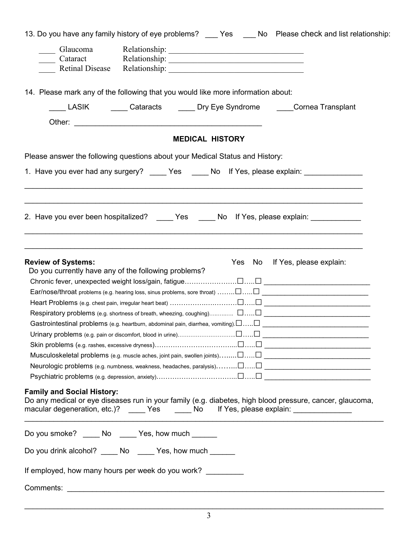| 13. Do you have any family history of eye problems? __ Yes __ No Please check and list relationship:                 |  |  |  |  |  |  |  |
|----------------------------------------------------------------------------------------------------------------------|--|--|--|--|--|--|--|
| Glaucoma                                                                                                             |  |  |  |  |  |  |  |
| Cataract Relationship: 1999                                                                                          |  |  |  |  |  |  |  |
|                                                                                                                      |  |  |  |  |  |  |  |
|                                                                                                                      |  |  |  |  |  |  |  |
| 14. Please mark any of the following that you would like more information about:                                     |  |  |  |  |  |  |  |
| LASIK Cataracts Dry Eye Syndrome Cornea Transplant                                                                   |  |  |  |  |  |  |  |
|                                                                                                                      |  |  |  |  |  |  |  |
| <b>MEDICAL HISTORY</b>                                                                                               |  |  |  |  |  |  |  |
| Please answer the following questions about your Medical Status and History:                                         |  |  |  |  |  |  |  |
| 1. Have you ever had any surgery? _____ Yes _____ No lf Yes, please explain: ___________                             |  |  |  |  |  |  |  |
|                                                                                                                      |  |  |  |  |  |  |  |
|                                                                                                                      |  |  |  |  |  |  |  |
| 2. Have you ever been hospitalized? _____ Yes _____ No If Yes, please explain: ____________                          |  |  |  |  |  |  |  |
|                                                                                                                      |  |  |  |  |  |  |  |
|                                                                                                                      |  |  |  |  |  |  |  |
|                                                                                                                      |  |  |  |  |  |  |  |
| <b>Review of Systems:</b><br>Yes<br>No If Yes, please explain:                                                       |  |  |  |  |  |  |  |
| Do you currently have any of the following problems?                                                                 |  |  |  |  |  |  |  |
|                                                                                                                      |  |  |  |  |  |  |  |
| $\mathsf{Ear}/\mathsf{nose}/\mathsf{throat}$ problems (e.g. hearing loss, sinus problems, sore throat) $\Box$ $\Box$ |  |  |  |  |  |  |  |
|                                                                                                                      |  |  |  |  |  |  |  |
|                                                                                                                      |  |  |  |  |  |  |  |
| Gastrointestinal problems (e.g. heartburn, abdominal pain, diarrhea, vomiting). $\Box$ $\Box$                        |  |  |  |  |  |  |  |
|                                                                                                                      |  |  |  |  |  |  |  |
|                                                                                                                      |  |  |  |  |  |  |  |
|                                                                                                                      |  |  |  |  |  |  |  |
|                                                                                                                      |  |  |  |  |  |  |  |
|                                                                                                                      |  |  |  |  |  |  |  |
| <b>Family and Social History:</b>                                                                                    |  |  |  |  |  |  |  |
| Do any medical or eye diseases run in your family (e.g. diabetes, high blood pressure, cancer, glaucoma,             |  |  |  |  |  |  |  |
| macular degeneration, etc.)? _____Yes ______No lf Yes, please explain: __________                                    |  |  |  |  |  |  |  |
|                                                                                                                      |  |  |  |  |  |  |  |
| Do you smoke? _____ No _____ Yes, how much ______                                                                    |  |  |  |  |  |  |  |
| Do you drink alcohol? _____ No _____ Yes, how much ______                                                            |  |  |  |  |  |  |  |
| If employed, how many hours per week do you work?                                                                    |  |  |  |  |  |  |  |
|                                                                                                                      |  |  |  |  |  |  |  |
|                                                                                                                      |  |  |  |  |  |  |  |

 $\_$  , and the set of the set of the set of the set of the set of the set of the set of the set of the set of the set of the set of the set of the set of the set of the set of the set of the set of the set of the set of th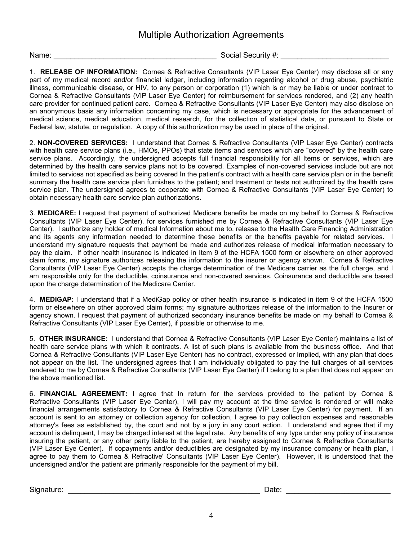#### Multiple Authorization Agreements

Name: \_\_\_\_\_\_\_\_\_\_\_\_\_\_\_\_\_\_\_\_\_\_\_\_\_\_\_\_\_\_\_\_\_\_\_\_\_\_\_ Social Security #: \_\_\_\_\_\_\_\_\_\_\_\_\_\_\_\_\_\_\_\_\_\_\_\_\_\_

1. **RELEASE OF INFORMATION:** Cornea & Refractive Consultants (VIP Laser Eye Center) may disclose all or any part of my medical record and/or financial ledger, including information regarding alcohol or drug abuse, psychiatric illness, communicable disease, or HIV, to any person or corporation (1) which is or may be liable or under contract to Cornea & Refractive Consultants (VIP Laser Eye Center) for reimbursement for services rendered, and (2) any health care provider for continued patient care. Cornea & Refractive Consultants (VIP Laser Eye Center) may also disclose on an anonymous basis any information concerning my case, which is necessary or appropriate for the advancement of medical science, medical education, medical research, for the collection of statistical data, or pursuant to State or Federal law, statute, or regulation. A copy of this authorization may be used in place of the original.

2. **NON-COVERED SERVICES:** I understand that Cornea & Refractive Consultants (VIP Laser Eye Center) contracts with health care service plans (i.e., HMOs, PPOs) that state items and services which are "covered" by the health care service plans. Accordingly, the undersigned accepts full financial responsibility for all Items or services, which are determined by the health care service plans not to be covered. Examples of non-covered services include but are not limited to services not specified as being covered In the patient's contract with a health care service plan or in the benefit summary the health care service plan furnishes to the patient; and treatment or tests not authorized by the health care service plan. The undersigned agrees to cooperate with Cornea & Refractive Consultants (VIP Laser Eye Center) to obtain necessary health care service plan authorizations.

3. **MEDICARE:** I request that payment of authorized Medicare benefits be made on my behalf to Cornea & Refractive Consultants (VIP Laser Eye Center), for services furnished me by Cornea & Refractive Consultants (VIP Laser Eye Center). I authorize any holder of medical Information about me to, release to the Health Care Financing Administration and its agents any information needed to determine these benefits or the benefits payable for related services. I understand my signature requests that payment be made and authorizes release of medical information necessary to pay the claim. If other health insurance is indicated in Item 9 of the HCFA 1500 form or elsewhere on other approved claim forms, my signature authorizes releasing the information to the insurer or agency shown. Cornea & Refractive Consultants (VIP Laser Eye Center) accepts the charge determination of the Medicare carrier as the full charge, and I am responsible only for the deductible, coinsurance and non-covered services. Coinsurance and deductible are based upon the charge determination of the Medicare Carrier.

4. **MEDIGAP:** I understand that if a MediGap policy or other health insurance is indicated in item 9 of the HCFA 1500 form or elsewhere on other approved claim forms; my signature authorizes release of the information to the Insurer or agency shown. I request that payment of authorized secondary insurance benefits be made on my behalf to Cornea & Refractive Consultants (VIP Laser Eye Center), if possible or otherwise to me.

5. **OTHER INSURANCE:** I understand that Cornea & Refractive Consultants (VIP Laser Eye Center) maintains a list of health care service plans with which it contracts. A list of such plans is available from the business office. And that Cornea & Refractive Consultants (VIP Laser Eye Center) has no contract, expressed or Implied, with any plan that does not appear on the list. The undersigned agrees that I am individually obligated to pay the full charges of all services rendered to me by Cornea & Refractive Consultants (VIP Laser Eye Center) if I belong to a plan that does not appear on the above mentioned list.

6. **FINANCIAL AGREEMENT:** I agree that In return for the services provided to the patient by Cornea & Refractive Consultants (VIP Laser Eye Center), I will pay my account at the time service is rendered or will make financial arrangements satisfactory to Cornea & Refractive Consultants (VIP Laser Eye Center) for payment. If an account is sent to an attorney or collection agency for collection, I agree to pay collection expenses and reasonable attorney's fees as established by, the court and not by a jury in any court action. I understand and agree that if my account is delinquent, I may be charged interest at the legal rate. Any benefits of any type under any policy of insurance insuring the patient, or any other party liable to the patient, are hereby assigned to Cornea & Refractive Consultants (VIP Laser Eye Center). If copayments and/or deductibles are designated by my insurance company or health plan, I agree to pay them to Cornea & Refractive' Consultants (VIP Laser Eye Center). However, it is understood that the undersigned and/or the patient are primarily responsible for the payment of my bill.

Signature: \_\_\_\_\_\_\_\_\_\_\_\_\_\_\_\_\_\_\_\_\_\_\_\_\_\_\_\_\_\_\_\_\_\_\_\_\_\_\_\_\_\_\_\_\_\_ Date: \_\_\_\_\_\_\_\_\_\_\_\_\_\_\_\_\_\_\_\_\_\_\_\_\_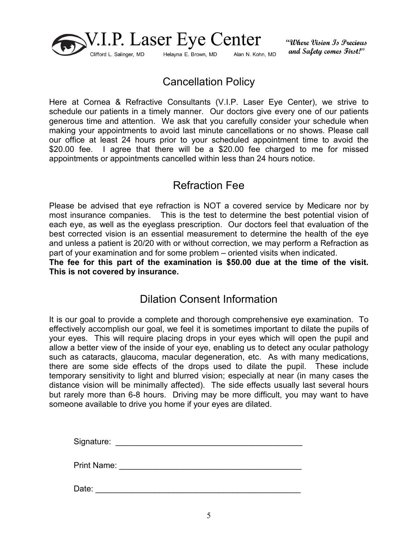

"Where Vision Is Precious and Safety comes First!"

## Cancellation Policy

Here at Cornea & Refractive Consultants (V.I.P. Laser Eye Center), we strive to schedule our patients in a timely manner. Our doctors give every one of our patients generous time and attention. We ask that you carefully consider your schedule when making your appointments to avoid last minute cancellations or no shows. Please call our office at least 24 hours prior to your scheduled appointment time to avoid the \$20.00 fee. I agree that there will be a \$20.00 fee charged to me for missed appointments or appointments cancelled within less than 24 hours notice.

#### Refraction Fee

Please be advised that eye refraction is NOT a covered service by Medicare nor by most insurance companies. This is the test to determine the best potential vision of each eye, as well as the eyeglass prescription. Our doctors feel that evaluation of the best corrected vision is an essential measurement to determine the health of the eye and unless a patient is 20/20 with or without correction, we may perform a Refraction as part of your examination and for some problem – oriented visits when indicated.

**The fee for this part of the examination is \$50.00 due at the time of the visit. This is not covered by insurance.**

#### Dilation Consent Information

It is our goal to provide a complete and thorough comprehensive eye examination. To effectively accomplish our goal, we feel it is sometimes important to dilate the pupils of your eyes. This will require placing drops in your eyes which will open the pupil and allow a better view of the inside of your eye, enabling us to detect any ocular pathology such as cataracts, glaucoma, macular degeneration, etc. As with many medications, there are some side effects of the drops used to dilate the pupil. These include temporary sensitivity to light and blurred vision; especially at near (in many cases the distance vision will be minimally affected). The side effects usually last several hours but rarely more than 6-8 hours. Driving may be more difficult, you may want to have someone available to drive you home if your eyes are dilated.

Signature: \_\_\_\_\_\_\_\_\_\_\_\_\_\_\_\_\_\_\_\_\_\_\_\_\_\_\_\_\_\_\_\_\_\_\_\_\_\_\_\_\_

Print Name: \_\_\_\_\_\_\_\_\_\_\_\_\_\_\_\_\_\_\_\_\_\_\_\_\_\_\_\_\_\_\_\_\_\_\_\_\_\_\_\_

Date: \_\_\_\_\_\_\_\_\_\_\_\_\_\_\_\_\_\_\_\_\_\_\_\_\_\_\_\_\_\_\_\_\_\_\_\_\_\_\_\_\_\_\_\_\_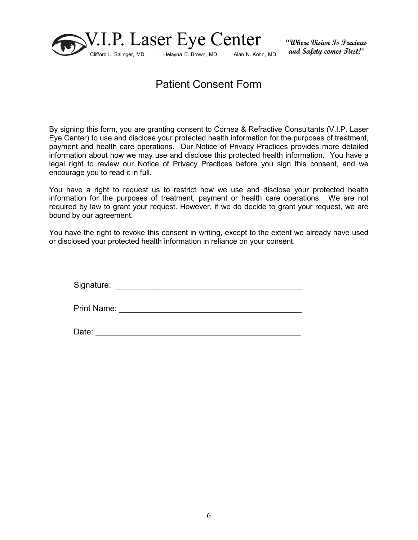

"Where Vision Is Precious and Safety comes First!"

### Patient Consent Form

By signing this form, you are granting consent to Cornea & Refractive Consultants (V.I.P. Laser Eye Center) to use and disclose your protected health information for the purposes of treatment, payment and health care operations. Our Notice of Privacy Practices provides more detailed information about how we may use and disclose this protected health information. You have a legal right to review our Notice of Privacy Practices before you sign this consent, and we encourage you to read it in full.

You have a right to request us to restrict how we use and disclose your protected health information for the purposes of treatment, payment or health care operations. We are not required by law to grant your request. However, if we do decide to grant your request, we are bound by our agreement.

You have the right to revoke this consent in writing, except to the extent we already have used or disclosed your protected health information in reliance on your consent.

Signature: \_\_\_\_\_\_\_\_\_\_\_\_\_\_\_\_\_\_\_\_\_\_\_\_\_\_\_\_\_\_\_\_\_\_\_\_\_\_\_\_\_

Print Name: \_\_\_\_\_\_\_\_\_\_\_\_\_\_\_\_\_\_\_\_\_\_\_\_\_\_\_\_\_\_\_\_\_\_\_\_\_\_\_\_

Date: \_\_\_\_\_\_\_\_\_\_\_\_\_\_\_\_\_\_\_\_\_\_\_\_\_\_\_\_\_\_\_\_\_\_\_\_\_\_\_\_\_\_\_\_\_